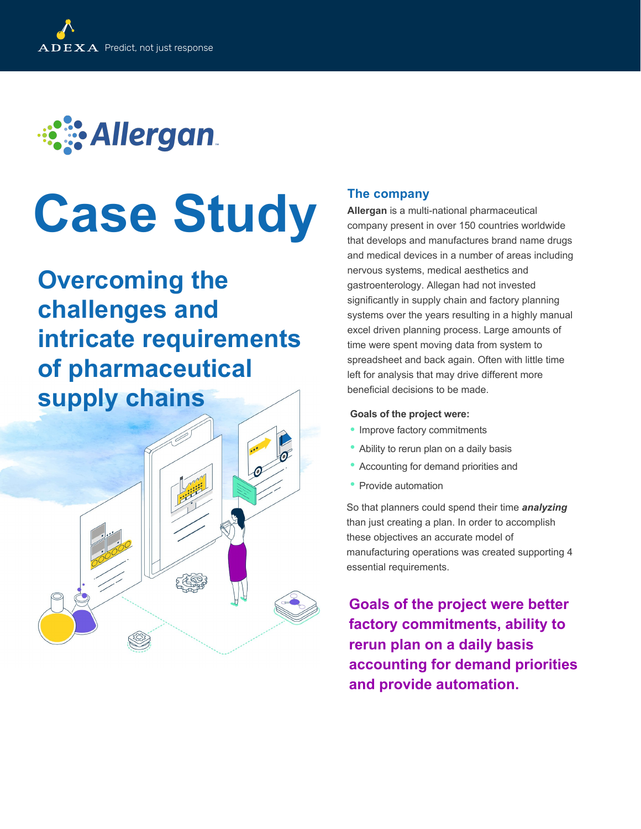

# **Case Study**

**Overcoming the challenges and intricate requirements of pharmaceutical Supply chains Goals** of the project were:



# **The company**

**Allergan** is a multi-national pharmaceutical company present in over 150 countries worldwide that develops and manufactures brand name drugs and medical devices in a number of areas including nervous systems, medical aesthetics and gastroenterology. Allegan had not invested significantly in supply chain and factory planning systems over the years resulting in a highly manual excel driven planning process. Large amounts of time were spent moving data from system to spreadsheet and back again. Often with little time left for analysis that may drive different more beneficial decisions to be made.

- Improve factory commitments
- Ability to rerun plan on a daily basis
- Accounting for demand priorities and
- Provide automation

So that planners could spend their time *analyzing* than just creating a plan. In order to accomplish these objectives an accurate model of manufacturing operations was created supporting 4 essential requirements.

**Goals of the project were better factory commitments, ability to rerun plan on a daily basis accounting for demand priorities and provide automation.**